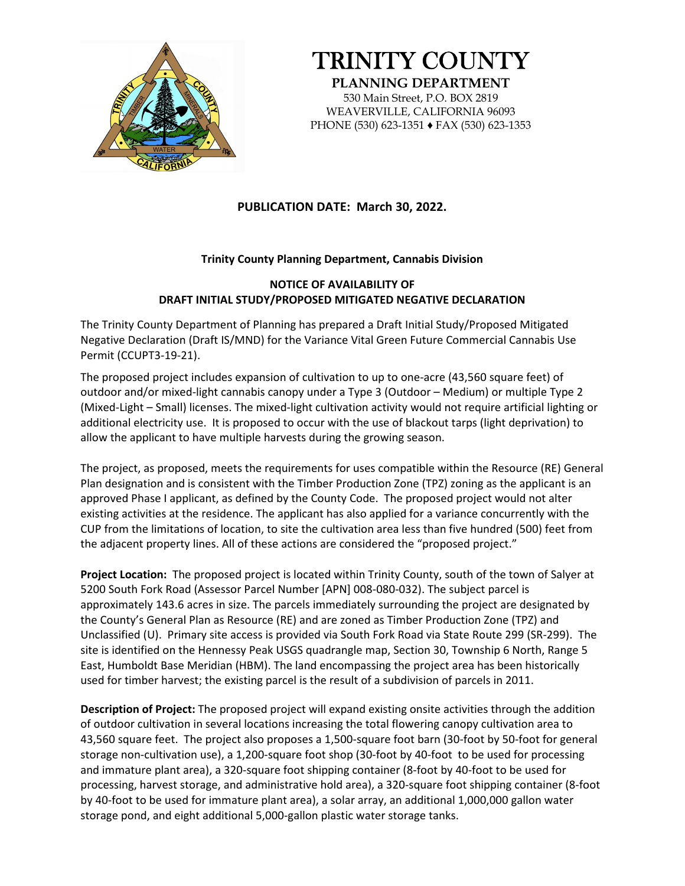

## TRINITY COUNTY

**PLANNING DEPARTMENT**  530 Main Street, P.O. BOX 2819 WEAVERVILLE, CALIFORNIA 96093 PHONE (530) 623-1351 ♦ FAX (530) 623-1353

## **PUBLICATION DATE: March 30, 2022.**

## **Trinity County Planning Department, Cannabis Division**

## **NOTICE OF AVAILABILITY OF DRAFT INITIAL STUDY/PROPOSED MITIGATED NEGATIVE DECLARATION**

The Trinity County Department of Planning has prepared a Draft Initial Study/Proposed Mitigated Negative Declaration (Draft IS/MND) for the Variance Vital Green Future Commercial Cannabis Use Permit (CCUPT3-19-21).

The proposed project includes expansion of cultivation to up to one-acre (43,560 square feet) of outdoor and/or mixed-light cannabis canopy under a Type 3 (Outdoor – Medium) or multiple Type 2 (Mixed-Light – Small) licenses. The mixed-light cultivation activity would not require artificial lighting or additional electricity use. It is proposed to occur with the use of blackout tarps (light deprivation) to allow the applicant to have multiple harvests during the growing season.

The project, as proposed, meets the requirements for uses compatible within the Resource (RE) General Plan designation and is consistent with the Timber Production Zone (TPZ) zoning as the applicant is an approved Phase I applicant, as defined by the County Code. The proposed project would not alter existing activities at the residence. The applicant has also applied for a variance concurrently with the CUP from the limitations of location, to site the cultivation area less than five hundred (500) feet from the adjacent property lines. All of these actions are considered the "proposed project."

**Project Location:** The proposed project is located within Trinity County, south of the town of Salyer at 5200 South Fork Road (Assessor Parcel Number [APN] 008-080-032). The subject parcel is approximately 143.6 acres in size. The parcels immediately surrounding the project are designated by the County's General Plan as Resource (RE) and are zoned as Timber Production Zone (TPZ) and Unclassified (U). Primary site access is provided via South Fork Road via State Route 299 (SR-299). The site is identified on the Hennessy Peak USGS quadrangle map, Section 30, Township 6 North, Range 5 East, Humboldt Base Meridian (HBM). The land encompassing the project area has been historically used for timber harvest; the existing parcel is the result of a subdivision of parcels in 2011.

**Description of Project:** The proposed project will expand existing onsite activities through the addition of outdoor cultivation in several locations increasing the total flowering canopy cultivation area to 43,560 square feet. The project also proposes a 1,500-square foot barn (30-foot by 50-foot for general storage non-cultivation use), a 1,200-square foot shop (30-foot by 40-foot to be used for processing and immature plant area), a 320-square foot shipping container (8-foot by 40-foot to be used for processing, harvest storage, and administrative hold area), a 320-square foot shipping container (8-foot by 40-foot to be used for immature plant area), a solar array, an additional 1,000,000 gallon water storage pond, and eight additional 5,000-gallon plastic water storage tanks.